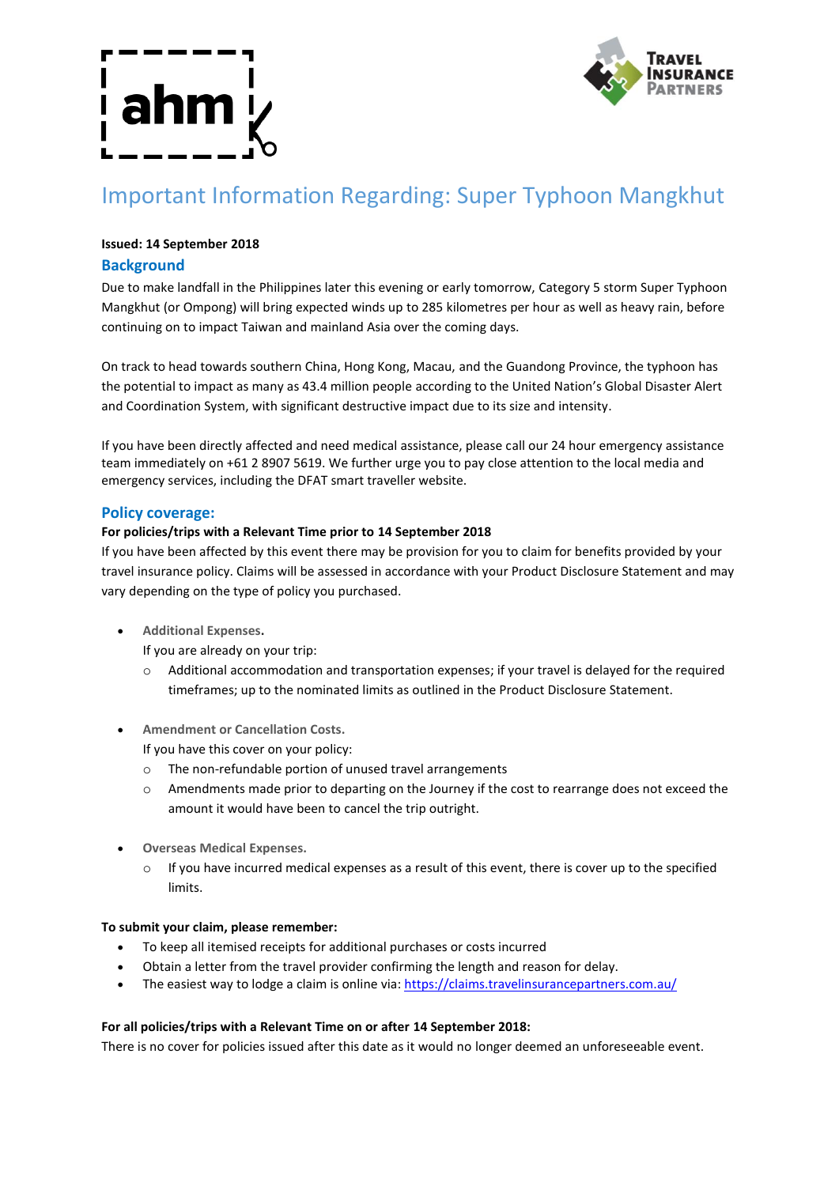

# Important Information Regarding: Super Typhoon Mangkhut

## **Issued: 14 September 2018**

# **Background**

Due to make landfall in the Philippines later this evening or early tomorrow, Category 5 storm Super Typhoon Mangkhut (or Ompong) will bring expected winds up to 285 kilometres per hour as well as heavy rain, before continuing on to impact Taiwan and mainland Asia over the coming days.

On track to head towards southern China, Hong Kong, Macau, and the Guandong Province, the typhoon has the potential to impact as many as 43.4 million people according to the United Nation's Global Disaster Alert and Coordination System, with significant destructive impact due to its size and intensity.

If you have been directly affected and need medical assistance, please call our 24 hour emergency assistance team immediately on +61 2 8907 5619. We further urge you to pay close attention to the local media and emergency services, including the DFAT smart traveller website.

### **Policy coverage:**

#### **For policies/trips with a Relevant Time prior to 14 September 2018**

If you have been affected by this event there may be provision for you to claim for benefits provided by your travel insurance policy. Claims will be assessed in accordance with your Product Disclosure Statement and may vary depending on the type of policy you purchased.

**Additional Expenses.**

If you are already on your trip:

- o Additional accommodation and transportation expenses; if your travel is delayed for the required timeframes; up to the nominated limits as outlined in the Product Disclosure Statement.
- **Amendment or Cancellation Costs.**

If you have this cover on your policy:

- o The non-refundable portion of unused travel arrangements
- o Amendments made prior to departing on the Journey if the cost to rearrange does not exceed the amount it would have been to cancel the trip outright.
- **Overseas Medical Expenses.**
	- $\circ$  If you have incurred medical expenses as a result of this event, there is cover up to the specified limits.

#### **To submit your claim, please remember:**

- To keep all itemised receipts for additional purchases or costs incurred
- Obtain a letter from the travel provider confirming the length and reason for delay.
- The easiest way to lodge a claim is online via: https://claims.travelinsurancepartners.com.au/

#### **For all policies/trips with a Relevant Time on or after 14 September 2018:**

There is no cover for policies issued after this date as it would no longer deemed an unforeseeable event.